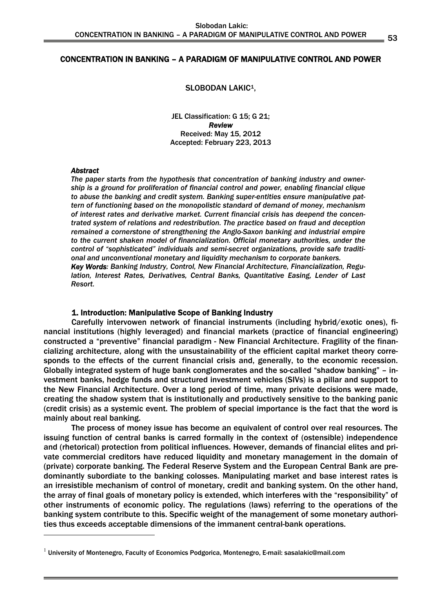### CONCENTRATION IN BANKING – A PARADIGM OF MANIPULATIVE CONTROL AND POWER

#### SLOBODAN LAKIC<sup>1</sup>.

JEL Classification: G 15; G 21; *Review*  Received: May 15, 2012 Accepted: February 223, 2013

# *Abstract*

-

*The paper starts from the hypothesis that concentration of banking industry and ownership is a ground for proliferation of financial control and power, enabling financial clique to abuse the banking and credit system. Banking super-entities ensure manipulative pattern of functioning based on the monopolistic standard of demand of money, mechanism of interest rates and derivative market. Current financial crisis has deepend the concentrated system of relations and redestribution. The practice based on fraud and deception remained a cornerstone of strengthening the Anglo-Saxon banking and industrial empire to the current shaken model of financialization. Official monetary authorities, under the control of "sophisticated" individuals and semi-secret organizations, provide safe traditional and unconventional monetary and liquidity mechanism to corporate bankers.* 

*Key Words: Banking Industry, Control, New Financial Architecture, Financialization, Regulation, Interest Rates, Derivatives, Central Banks, Quantitative Easing, Lender of Last Resort.* 

## 1. Introduction: Manipulative Scope of Banking Industry

Carefully intervowen network of financial instruments (including hybrid/exotic ones), financial institutions (highly leveraged) and financial markets (practice of financial engineering) constructed a "preventive" financial paradigm - New Financial Architecture. Fragility of the financializing architecture, along with the unsustainability of the efficient capital market theory corresponds to the effects of the current financial crisis and, generally, to the economic recession. Globally integrated system of huge bank conglomerates and the so-called "shadow banking" – investment banks, hedge funds and structured investment vehicles (SIVs) is a pillar and support to the New Financial Architecture. Over a long period of time, many private decisions were made, creating the shadow system that is institutionally and productively sensitive to the banking panic (credit crisis) as a systemic event. The problem of special importance is the fact that the word is mainly about real banking.

The process of money issue has become an equivalent of control over real resources. The issuing function of central banks is carred formally in the context of (ostensible) independence and (rhetorical) protection from political influences. However, demands of financial elites and private commercial creditors have reduced liquidity and monetary management in the domain of (private) corporate banking. The Federal Reserve System and the European Central Bank are predominantly subordiate to the banking colosses. Manipulating market and base interest rates is an irresistible mechanism of control of monetary, credit and banking system. On the other hand, the array of final goals of monetary policy is extended, which interferes with the "responsibility" of other instruments of economic policy. The regulations (laws) referring to the operations of the banking system contribute to this. Specific weight of the management of some monetary authorities thus exceeds acceptable dimensions of the immanent central-bank operations.

 $^{\rm 1}$  University of Montenegro, Faculty of Economics Podgorica, Montenegro, E-mail: sasalakic@mail.com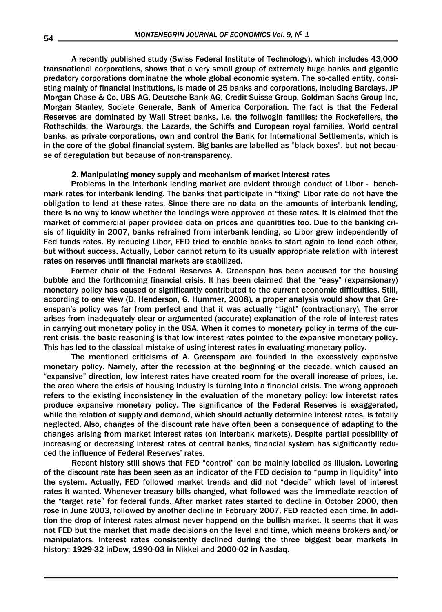A recently published study (Swiss Federal Institute of Technology), which includes 43,000 transnational corporations, shows that a very small group of extremely huge banks and gigantic predatory corporations dominatne the whole global economic system. The so-called entity, consisting mainly of financial institutions, is made of 25 banks and corporations, including Barclays, JP Morgan Chase & Co, UBS AG, Deutsche Bank AG, Credit Suisse Group, Goldman Sachs Group Inc, Morgan Stanley, Societe Generale, Bank of America Corporation. The fact is that the Federal Reserves are dominated by Wall Street banks, i.e. the follwogin families: the Rockefellers, the Rothschilds, the Warburgs, the Lazards, the Schiffs and European royal families. World central banks, as private corporations, own and control the Bank for International Settlements, which is in the core of the global financial system. Big banks are labelled as "black boxes", but not because of deregulation but because of non-transparency.

# 2. Manipulating money supply and mechanism of market interest rates

 Problems in the interbank lending market are evident through conduct of Libor - benchmark rates for interbank lending. The banks that participate in "fixing" Libor rate do not have the obligation to lend at these rates. Since there are no data on the amounts of interbank lending, there is no way to know whether the lendings were approved at these rates. It is claimed that the market of commercial paper provided data on prices and quanitities too. Due to the banking crisis of liquidity in 2007, banks refrained from interbank lending, so Libor grew independently of Fed funds rates. By reducing Libor, FED tried to enable banks to start again to lend each other, but without success. Actually, Lobor cannot return to its usually appropriate relation with interest rates on reserves until financial markets are stabilized.

 Former chair of the Federal Reserves A. Greenspan has been accused for the housing bubble and the forthcoming financial crisis. It has been claimed that the "easy" (expansionary) monetary policy has caused or significantly contributed to the current economic difficulties. Still, according to one view (D. Henderson, G. Hummer, 2008), a proper analysis would show that Greenspan's policy was far from perfect and that it was actually "tight" (contractionary). The error arises from inadequately clear or argumented (accurate) explanation of the role of interest rates in carrying out monetary policy in the USA. When it comes to monetary policy in terms of the current crisis, the basic reasoning is that low interest rates pointed to the expansive monetary policy. This has led to the classical mistake of using interest rates in evaluating monetary policy.

The mentioned criticisms of A. Greenspam are founded in the excessively expansive monetary policy. Namely, after the recession at the beginning of the decade, which caused an "expansive" direction, low interest rates have created room for the overall increase of prices, i.e. the area where the crisis of housing industry is turning into a financial crisis. The wrong approach refers to the existing inconsistency in the evaluation of the monetary policy: low interetst rates produce expansive monetary policy. The significance of the Federal Reserves is exaggerated, while the relation of supply and demand, which should actually determine interest rates, is totally neglected. Also, changes of the discount rate have often been a consequence of adapting to the changes arising from market interest rates (on interbank markets). Despite partial possibility of increasing or decreasing interest rates of central banks, financial system has significantly reduced the influence of Federal Reserves' rates.

Recent history still shows that FED "control" can be mainly labelled as illusion. Lowering of the discount rate has been seen as an indicator of the FED decision to "pump in liquidity" into the system. Actually, FED followed market trends and did not "decide" which level of interest rates it wanted. Whenever treasury bills changed, what followed was the immediate reaction of the "target rate" for federal funds. After market rates started to decline in October 2000, then rose in June 2003, followed by another decline in February 2007, FED reacted each time. In addition the drop of interest rates almost never happend on the bullish market. It seems that it was not FED but the market that made decisions on the level and time, which means brokers and/or manipulators. Interest rates consistently declined during the three biggest bear markets in history: 1929-32 inDow, 1990-03 in Nikkei and 2000-02 in Nasdaq.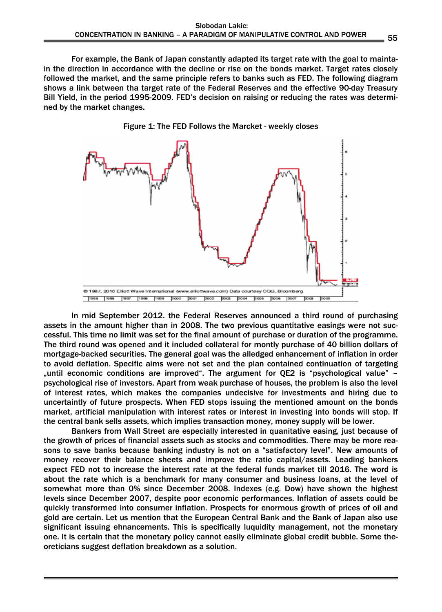For example, the Bank of Japan constantly adapted its target rate with the goal to maintain the direction in accordance with the decline or rise on the bonds market. Target rates closely followed the market, and the same principle refers to banks such as FED. The following diagram shows a link between tha target rate of the Federal Reserves and the effective 90-day Treasury Bill Yield, in the period 1995-2009. FED's decision on raising or reducing the rates was determined by the market changes.



Figure 1: The FED Follows the Marcket - weekly closes

 In mid September 2012. the Federal Reserves announced a third round of purchasing assets in the amount higher than in 2008. The two previous quantitative easings were not successful. This time no limit was set for the final amount of purchase or duration of the programme. The third round was opened and it included collateral for montly purchase of 40 billion dollars of mortgage-backed securities. The general goal was the alledged enhancement of inflation in order to avoid deflation. Specific aims were not set and the plan contained continuation of targeting "until economic conditions are improved". The argument for QE2 is "psychological value" – psychological rise of investors. Apart from weak purchase of houses, the problem is also the level of interest rates, which makes the companies undecisive for investments and hiring due to uncertaintly of future prospects. When FED stops issuing the mentioned amount on the bonds market, artificial manipulation with interest rates or interest in investing into bonds will stop. If the central bank sells assets, which implies transaction money, money supply will be lower.

 Bankers from Wall Street are especially interested in quanitative easing, just because of the growth of prices of financial assets such as stocks and commodities. There may be more reasons to save banks because banking industry is not on a "satisfactory level". New amounts of money recover their balance sheets and improve the ratio capital/assets. Leading bankers expect FED not to increase the interest rate at the federal funds market till 2016. The word is about the rate which is a benchmark for many consumer and business loans, at the level of somewhat more than 0% since December 2008. Indexes (e.g. Dow) have shown the highest levels since December 2007, despite poor economic performances. Inflation of assets could be quickly transformed into consumer inflation. Prospects for enormous growth of prices of oil and gold are certain. Let us mention that the European Central Bank and the Bank of Japan also use significant issuing ehnancements. This is specifically luquidity management, not the monetary one. It is certain that the monetary policy cannot easily eliminate global credit bubble. Some theoreticians suggest deflation breakdown as a solution.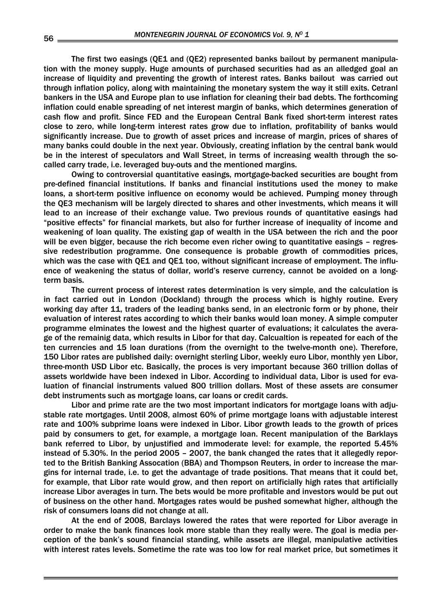The first two easings (QE1 and (QE2) represented banks bailout by permanent manipulation with the money supply. Huge amounts of purchased securities had as an alledged goal an increase of liquidity and preventing the growth of interest rates. Banks bailout was carried out through inflation policy, along with maintaining the monetary system the way it still exits. Cetranl bankers in the USA and Europe plan to use inflation for cleaning their bad debts. The forthcoming inflation could enable spreading of net interest margin of banks, which determines generation of cash flow and profit. Since FED and the European Central Bank fixed short-term interest rates close to zero, while long-term interest rates grow due to inflation, profitability of banks would significantly increase. Due to growth of asset prices and increase of margin, prices of shares of many banks could double in the next year. Obviously, creating inflation by the central bank would be in the interest of speculators and Wall Street, in terms of increasing wealth through the socalled carry trade, i.e. leveraged buy-outs and the mentioned margins.

 Owing to controversial quantitative easings, mortgage-backed securities are bought from pre-defined financial institutions. If banks and financial institutions used the money to make loans, a short-term positive influence on economy would be achieved. Pumping money through the QE3 mechanism will be largely directed to shares and other investments, which means it will lead to an increase of their exchange value. Two previous rounds of quantitative easings had "positive effects" for financial markets, but also for further increase of inequality of income and weakening of loan quality. The existing gap of wealth in the USA between the rich and the poor will be even bigger, because the rich become even richer owing to quantitative easings – regressive redestribution programme. One consequence is probable growth of commodities prices, which was the case with QE1 and QE1 too, without significant increase of employment. The influence of weakening the status of dollar, world's reserve currency, cannot be avoided on a longterm basis.

 The current process of interest rates determination is very simple, and the calculation is in fact carried out in London (Dockland) through the process which is highly routine. Every working day after 11, traders of the leading banks send, in an electronic form or by phone, their evaluation of interest rates according to which their banks would loan money. A simple computer programme elminates the lowest and the highest quarter of evaluations; it calculates the average of the remainig data, which results in Libor for that day. Calcualtion is repeated for each of the ten currencies and 15 loan durations (from the overnight to the twelve-month one). Therefore, 150 Libor rates are published daily: overnight sterling Libor, weekly euro Libor, monthly yen Libor, three-month USD Libor etc. Basically, the proces is very important because 360 trillion dollas of assets worldwide have been indexed in Libor. According to individual data, Libor is used for evaluation of financial instruments valued 800 trillion dollars. Most of these assets are consumer debt instruments such as mortgage loans, car loans or credit cards.

 Libor and prime rate are the two most important indicators for mortgage loans with adjustable rate mortgages. Until 2008, almost 60% of prime mortgage loans with adjustable interest rate and 100% subprime loans were indexed in Libor. Libor growth leads to the growth of prices paid by consumers to get, for example, a mortgage loan. Recent manipulation of the Barklays bank referred to Libor, by unjustified and immoderate level: for example, the reported 5.45% instead of 5.30%. In the period 2005 – 2007, the bank changed the rates that it allegedly reported to the British Banking Assocation (BBA) and Thompson Reuters, in order to increase the margins for internal trade, i.e. to get the advantage of trade positions. That means that it could bet, for example, that Libor rate would grow, and then report on artificially high rates that artificially increase Libor averages in turn. The bets would be more profitable and investors would be put out of business on the other hand. Mortgages rates would be pushed somewhat higher, although the risk of consumers loans did not change at all.

 At the end of 2008, Barclays lowered the rates that were reported for Libor average in order to make the bank finances look more stable than they really were. The goal is media perception of the bank's sound financial standing, while assets are illegal, manipulative activities with interest rates levels. Sometime the rate was too low for real market price, but sometimes it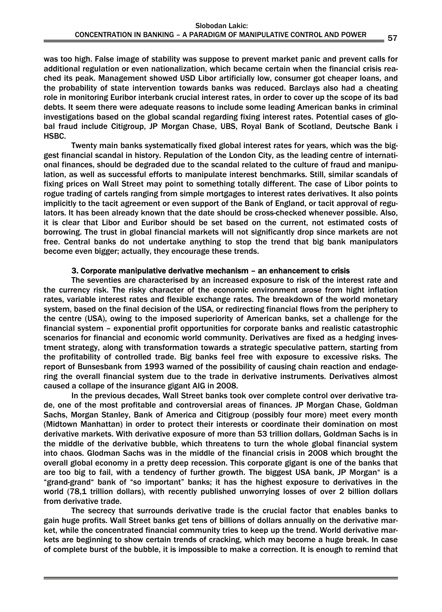was too high. False image of stability was suppose to prevent market panic and prevent calls for additional regulation or even nationalization, which became certain when the financial crisis reached its peak. Management showed USD Libor artificially low, consumer got cheaper loans, and the probability of state intervention towards banks was reduced. Barclays also had a cheating role in monitoring Euribor interbank crucial interest rates, in order to cover up the scope of its bad debts. It seem there were adequate reasons to include some leading American banks in criminal investigations based on the global scandal regarding fixing interest rates. Potential cases of global fraud include Citigroup, JP Morgan Chase, UBS, Royal Bank of Scotland, Deutsche Bank i HSBC.

 Twenty main banks systematically fixed global interest rates for years, which was the biggest financial scandal in history. Repulation of the London City, as the leading centre of international finances, should be degraded due to the scandal related to the culture of fraud and manipulation, as well as successful efforts to manipulate interest benchmarks. Still, similar scandals of fixing prices on Wall Street may point to something totally different. The case of Libor points to rogue trading of cartels ranging from simple mortgages to interest rates derivatives. It also points implicitly to the tacit agreement or even support of the Bank of England, or tacit approval of regulators. It has been already known that the date should be cross-checked whenever possible. Also, it is clear that Libor and Euribor should be set based on the current, not estimated costs of borrowing. The trust in global financial markets will not significantly drop since markets are not free. Central banks do not undertake anything to stop the trend that big bank manipulators become even bigger; actually, they encourage these trends.

# 3. Corporate manipulative derivative mechanism – an enhancement to crisis

The seventies are characterised by an increased exposure to risk of the interest rate and the currency risk. The risky character of the economic environment arose from hight inflation rates, variable interest rates and flexible exchange rates. The breakdown of the world monetary system, based on the final decision of the USA, or redirecting financial flows from the periphery to the centre (USA), owing to the imposed superiority of American banks, set a challenge for the financial system – exponential profit opportunities for corporate banks and realistic catastrophic scenarios for financial and economic world community. Derivatives are fixed as a hedging investment strategy, along with transformation towards a strategic speculative pattern, starting from the profitability of controlled trade. Big banks feel free with exposure to excessive risks. The report of Bunsesbank from 1993 warned of the possibility of causing chain reaction and endagering the overall financial system due to the trade in derivative instruments. Derivatives almost caused a collape of the insurance gigant AIG in 2008.

 In the previous decades, Wall Street banks took over complete control over derivative trade, one of the most profitable and controversial areas of finances. JP Morgan Chase, Goldman Sachs, Morgan Stanley, Bank of America and Citigroup (possibly four more) meet every month (Midtown Manhattan) in order to protect their interests or coordinate their domination on most derivative markets. With derivative exposure of more than 53 trillion dollars, Goldman Sachs is in the middle of the derivative bubble, which threatens to turn the whole global financial system into chaos. Glodman Sachs was in the middle of the financial crisis in 2008 which brought the overall global economy in a pretty deep recession. This corporate gigant is one of the banks that are too big to fail, with a tendency of further growth. The biggest USA bank, JP Morgan" is a "grand-grand" bank of "so important" banks; it has the highest exposure to derivatives in the world (78,1 trillion dollars), with recently published unworrying losses of over 2 billion dollars from derivative trade.

 The secrecy that surrounds derivative trade is the crucial factor that enables banks to gain huge profits. Wall Street banks get tens of billions of dollars annually on the derivative market, while the concentrated financial community tries to keep up the trend. World derivative markets are beginning to show certain trends of cracking, which may become a huge break. In case of complete burst of the bubble, it is impossible to make a correction. It is enough to remind that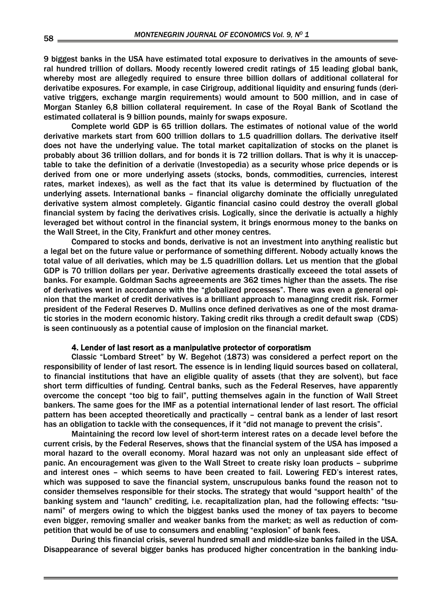9 biggest banks in the USA have estimated total exposure to derivatives in the amounts of several hundred trillion of dollars. Moody recently lowered credit ratings of 15 leading global bank, whereby most are allegedly required to ensure three billion dollars of additional collateral for derivatibe exposures. For example, in case Cirigroup, additional liquidity and ensuring funds (derivative triggers, exchange margin requirements) would amount to 500 million, and in case of Morgan Stanley 6,8 billion collateral requirement. In case of the Royal Bank of Scotland the estimated collateral is 9 billion pounds, mainly for swaps exposure.

 Complete world GDP is 65 trillion dollars. The estimates of notional value of the world derivative markets start from 600 trillion dollars to 1.5 quadrillion dollars. The derivative itself does not have the underlying value. The total market capitalization of stocks on the planet is probably about 36 trillion dollars, and for bonds it is 72 trillion dollars. That is why it is unacceptable to take the definition of a derivatie (Investopedia) as a security whose price depends or is derived from one or more underlying assets (stocks, bonds, commodities, currencies, interest rates, market indexes), as well as the fact that its value is determined by fluctuation of the underlying assets. International banks – financial oligarchy dominate the officially unregulated derivative system almost completely. Gigantic financial casino could destroy the overall global financial system by facing the derivatives crisis. Logically, since the derivatie is actually a highly leveraged bet without control in the financial system, it brings enormous money to the banks on the Wall Street, in the City, Frankfurt and other money centres.

 Compared to stocks and bonds, derivative is not an investment into anything realistic but a legal bet on the future value or performance of something different. Nobody actually knows the total value of all derivaties, which may be 1.5 quadrillion dollars. Let us mention that the global GDP is 70 trillion dollars per year. Derivative agreements drastically exceeed the total assets of banks. For example. Goldman Sachs agreeements are 362 times higher than the assets. The rise of derivatives went in accordance with the "globalized processes". There was even a general opinion that the market of credit derivatives is a brilliant approach to managinng credit risk. Former president of the Federal Reserves D. Mullins once defined derivatives as one of the most dramatic stories in the modern economic history. Taking credit riks through a credit default swap (CDS) is seen continuously as a potential cause of implosion on the financial market.

#### 4. Lender of last resort as a manipulative protector of corporatism

 Classic "Lombard Street" by W. Begehot (1873) was considered a perfect report on the responsibility of lender of last resort. The essence is in lending liquid sources based on collateral, to financial institutions that have an eligible quality of assets (that they are solvent), but face short term difficulties of funding. Central banks, such as the Federal Reserves, have apparently overcome the concept "too big to fail", putting themselves again in the function of Wall Street bankers. The same goes for the IMF as a potential international lender of last resort. The official pattern has been accepted theoretically and practically – central bank as a lender of last resort has an obligation to tackle with the consequences, if it "did not manage to prevent the crisis".

 Maintaining the record low level of short-term interest rates on a decade level before the current crisis, by the Federal Reserves, shows that the financial system of the USA has imposed a moral hazard to the overall economy. Moral hazard was not only an unpleasant side effect of panic. An encouragement was given to the Wall Street to create risky loan products – subprime and interest ones – which seems to have been created to fail. Lowering FED's interest rates, which was supposed to save the financial system, unscrupulous banks found the reason not to consider themselves responsible for their stocks. The strategy that would "support health" of the banking system and "launch" crediting, i.e. recapitalization plan, had the following effects: "tsunami" of mergers owing to which the biggest banks used the money of tax payers to become even bigger, removing smaller and weaker banks from the market; as well as reduction of competition that would be of use to consumers and enabling "explosion" of bank fees.

 During this financial crisis, several hundred small and middle-size banks failed in the USA. Disappearance of several bigger banks has produced higher concentration in the banking indu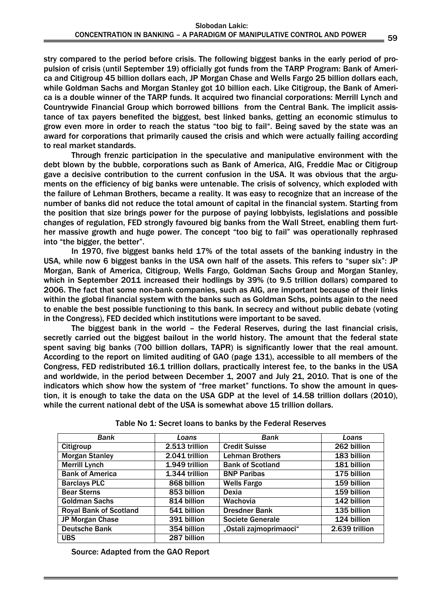stry compared to the period before crisis. The following biggest banks in the early period of propulsion of crisis (until September 19) officially got funds from the TARP Program: Bank of America and Citigroup 45 billion dollars each, JP Morgan Chase and Wells Fargo 25 billion dollars each, while Goldman Sachs and Morgan Stanley got 10 billion each. Like Citigroup, the Bank of America is a double winner of the TARP funds. It acquired two financial corporations: Merrill Lynch and Countrywide Financial Group which borrowed billions from the Central Bank. The implicit assistance of tax payers benefited the biggest, best linked banks, getting an economic stimulus to grow even more in order to reach the status "too big to fail". Being saved by the state was an award for corporations that primarily caused the crisis and which were actually failing according to real market standards.

 Through frenzic participation in the speculative and manipulative environment with the debt blown by the bubble, corporations such as Bank of America, AIG, Freddie Mac or Citigroup gave a decisive contribution to the current confusion in the USA. It was obvious that the arguments on the efficiency of big banks were untenable. The crisis of solvency, which exploded with the failure of Lehman Brothers, became a reality. It was easy to recognize that an increase of the number of banks did not reduce the total amount of capital in the financial system. Starting from the position that size brings power for the purpose of paying lobbyists, legislations and possible changes of regulation, FED strongly favoured big banks from the Wall Street, enabling them further massive growth and huge power. The concept "too big to fail" was operationally rephrased into "the bigger, the better".

In 1970, five biggest banks held 17% of the total assets of the banking industry in the USA, while now 6 biggest banks in the USA own half of the assets. This refers to "super six": JP Morgan, Bank of America, Citigroup, Wells Fargo, Goldman Sachs Group and Morgan Stanley, which in September 2011 increased their hodlings by 39% (to 9.5 trillion dollars) compared to 2006. The fact that some non-bank companies, such as AIG, are important because of their links within the global financial system with the banks such as Goldman Schs, points again to the need to enable the best possible functioning to this bank. In secrecy and without public debate (voting in the Congress), FED decided which institutions were important to be saved.

The biggest bank in the world – the Federal Reserves, during the last financial crisis, secretly carried out the biggest bailout in the world history. The amount that the federal state spent saving big banks (700 billion dollars, TAPR) is significantly lower that the real amount. According to the report on limited auditing of GAO (page 131), accessible to all members of the Congress, FED redistributed 16.1 trillion dollars, practically interest fee, to the banks in the USA and worldwide, in the period between December 1, 2007 and July 21, 2010. That is one of the indicators which show how the system of "free market" functions. To show the amount in question, it is enough to take the data on the USA GDP at the level of 14.58 trillion dollars (2010), while the current national debt of the USA is somewhat above 15 trillion dollars.

| <b>Bank</b>                   | Loans          | Bank                    | Loans          |
|-------------------------------|----------------|-------------------------|----------------|
| Citigroup                     | 2.513 trillion | <b>Credit Suisse</b>    | 262 billion    |
| <b>Morgan Stanley</b>         | 2.041 trillion | <b>Lehman Brothers</b>  | 183 billion    |
| <b>Merrill Lynch</b>          | 1.949 trillion | <b>Bank of Scotland</b> | 181 billion    |
| <b>Bank of America</b>        | 1.344 trillion | <b>BNP Paribas</b>      | 175 billion    |
| <b>Barclays PLC</b>           | 868 billion    | <b>Wells Fargo</b>      | 159 billion    |
| <b>Bear Sterns</b>            | 853 billion    | Dexia                   | 159 billion    |
| <b>Goldman Sachs</b>          | 814 billion    | Wachovia                | 142 billion    |
| <b>Royal Bank of Scotland</b> | 541 billion    | <b>Dresdner Bank</b>    | 135 billion    |
| JP Morgan Chase               | 391 billion    | <b>Societe Generale</b> | 124 billion    |
| <b>Deutsche Bank</b>          | 354 billion    | "Ostali zajmoprimaoci"  | 2.639 trillion |
| <b>UBS</b>                    | 287 billion    |                         |                |

Table No 1: Secret loans to banks by the Federal Reserves

Source: Adapted from the GAO Report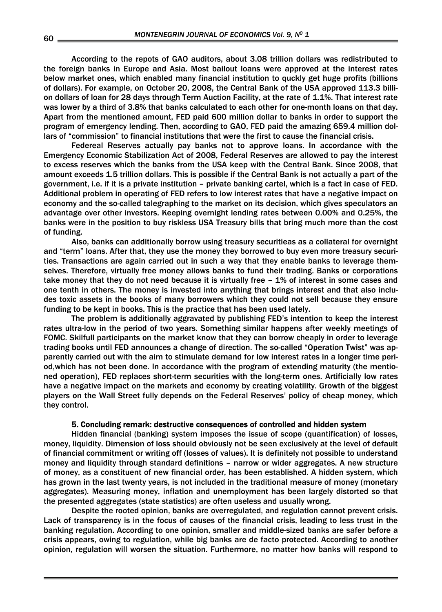According to the repots of GAO auditors, about 3.08 trillion dollars was redistributed to the foreign banks in Europe and Asia. Most bailout loans were approved at the interest rates below market ones, which enabled many financial institution to quckly get huge profits (billions of dollars). For example, on October 20, 2008, the Central Bank of the USA approved 113.3 billion dollars of loan for 28 days through Term Auction Facility, at the rate of 1.1%. That interest rate was lower by a third of 3.8% that banks calculated to each other for one-month loans on that day. Apart from the mentioned amount, FED paid 600 million dollar to banks in order to support the program of emergency lending. Then, according to GAO, FED paid the amazing 659.4 million dollars of "commission" to financial institutions that were the first to cause the financial crisis.

 Federeal Reserves actually pay banks not to approve loans. In accordance with the Emergency Economic Stabilization Act of 2008, Federal Reserves are allowed to pay the interest to excess reserves which the banks from the USA keep with the Central Bank. Since 2008, that amount exceeds 1.5 trillion dollars. This is possible if the Central Bank is not actually a part of the government, i.e. if it is a private institution – private banking cartel, which is a fact in case of FED. Additional problem in operating of FED refers to low interest rates that have a negative impact on economy and the so-called talegraphing to the market on its decision, which gives speculators an advantage over other investors. Keeping overnight lending rates between 0.00% and 0.25%, the banks were in the position to buy riskless USA Treasury bills that bring much more than the cost of funding.

Also, banks can additionally borrow using treasury securitieas as a collateral for overnight and "term" loans. After that, they use the money they borrowed to buy even more treasury securities. Transactions are again carried out in such a way that they enable banks to leverage themselves. Therefore, virtually free money allows banks to fund their trading. Banks or corporations take money that they do not need because it is virtually free – 1% of interest in some cases and one tenth in others. The money is invested into anything that brings interest and that also includes toxic assets in the books of many borrowers which they could not sell because they ensure funding to be kept in books. This is the practice that has been used lately.

The problem is additionally aggravated by publishing FED's intention to keep the interest rates ultra-low in the period of two years. Something similar happens after weekly meetings of FOMC. Skilfull participants on the market know that they can borrow cheaply in order to leverage trading books until FED announces a change of direction. The so-called "Operation Twist" was apparently carried out with the aim to stimulate demand for low interest rates in a longer time period,which has not been done. In accordance with the program of extending maturity (the mentioned operation), FED replaces short-term securities with the long-term ones. Artificially low rates have a negative impact on the markets and economy by creating volatility. Growth of the biggest players on the Wall Street fully depends on the Federal Reserves' policy of cheap money, which they control.

### 5. Concluding remark: destructive consequences of controlled and hidden system

 Hidden financial (banking) system imposes the issue of scope (quantification) of losses, money, liquidity. Dimension of loss should obviously not be seen exclusively at the level of default of financial commitment or writing off (losses of values). It is definitely not possible to understand money and liquidity through standard definitions – narrow or wider aggregates. A new structure of money, as a constituent of new financial order, has been established. A hidden system, which has grown in the last twenty years, is not included in the traditional measure of money (monetary aggregates). Measuring money, inflation and unemployment has been largely distorted so that the presented aggregates (state statistics) are often useless and usually wrong.

 Despite the rooted opinion, banks are overregulated, and regulation cannot prevent crisis. Lack of transparency is in the focus of causes of the financial crisis, leading to less trust in the banking regulation. According to one opinion, smaller and middle-sized banks are safer before a crisis appears, owing to regulation, while big banks are de facto protected. According to another opinion, regulation will worsen the situation. Furthermore, no matter how banks will respond to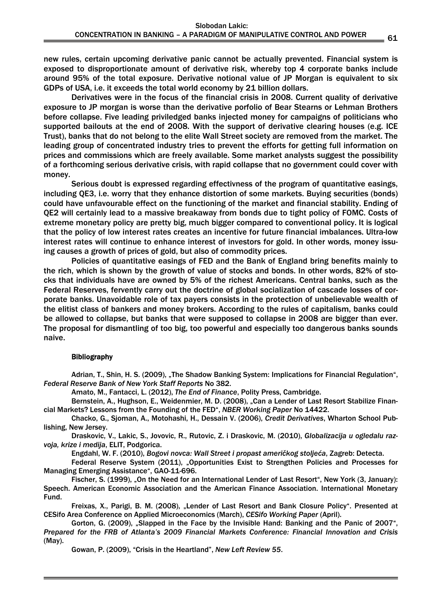new rules, certain upcoming derivative panic cannot be actually prevented. Financial system is exposed to disproportionate amount of derivative risk, whereby top 4 corporate banks include around 95% of the total exposure. Derivative notional value of JP Morgan is equivalent to six GDPs of USA, i.e. it exceeds the total world economy by 21 billion dollars.

 Derivatives were in the focus of the financial crisis in 2008. Current quality of derivative exposure to JP morgan is worse than the derivative porfolio of Bear Stearns or Lehman Brothers before collapse. Five leading priviledged banks injected money for campaigns of politicians who supported bailouts at the end of 2008. With the support of derivative clearing houses (e.g. ICE Trust), banks that do not belong to the elite Wall Street society are removed from the market. The leading group of concentrated industry tries to prevent the efforts for getting full information on prices and commissions which are freely available. Some market analysts suggest the possibility of a forthcoming serious derivative crisis, with rapid collapse that no government could cover with money.

 Serious doubt is expressed regarding effectivness of the program of quantitative easings, including QE3, i.e. worry that they enhance distortion of some markets. Buying securities (bonds) could have unfavourable effect on the functioning of the market and financial stability. Ending of QE2 will certainly lead to a massive breakaway from bonds due to tight policy of FOMC. Costs of extreme monetary policy are pretty big, much bigger compared to conventional policy. It is logical that the policy of low interest rates creates an incentive for future financial imbalances. Ultra-low interest rates will continue to enhance interest of investors for gold. In other words, money issuing causes a growth of prices of gold, but also of commodity prices.

Policies of quantitative easings of FED and the Bank of England bring benefits mainly to the rich, which is shown by the growth of value of stocks and bonds. In other words, 82% of stocks that individuals have are owned by 5% of the richest Americans. Central banks, such as the Federal Reserves, fervently carry out the doctrine of global socialization of cascade losses of corporate banks. Unavoidable role of tax payers consists in the protection of unbelievable wealth of the elitist class of bankers and money brokers. According to the rules of capitalism, banks could be allowed to collapse, but banks that were supposed to collapse in 2008 are bigger than ever. The proposal for dismantling of too big, too powerful and especially too dangerous banks sounds naive.

## Bibliography

Adrian, T., Shin, H. S. (2009), "The Shadow Banking System: Implications for Financial Regulation", *Federal Reserve Bank of New York Staff Reports* No 382.

Amato, M., Fantacci, L. (2012), *The End of Finance*, Polity Press, Cambridge.

 Bernstein, A., Hughson, E., Weidenmier, M. D. (2008), "Can a Lender of Last Resort Stabilize Financial Markets? Lessons from the Founding of the FED", *NBER Working Paper* No 14422.

 Chacko, G., Sjoman, A., Motohashi, H., Dessain V. (2006), *Credit Derivatives*, Wharton School Publishing, New Jersey.

Draskovic, V., Lakic, S., Jovovic, R., Rutovic, Z. i Draskovic, M. (2010), *Globalizacija u ogledalu razvoja, krize i medija*, ELIT, Podgorica.

Engdahl, W. F. (2010), *Bogovi novca: Wall Street i propast američkog stoljeća*, Zagreb: Detecta.

 Federal Reserve System (2011), "Opportunities Exist to Strengthen Policies and Processes for Managing Emerging Assistance", GAO-11-696.

Fischer, S. (1999), "On the Need for an International Lender of Last Resort", New York (3. January): Speech. American Economic Association and the American Finance Association. International Monetary Fund.

Freixas, X., Parigi, B. M. (2008), "Lender of Last Resort and Bank Closure Policy". Presented at CESifo Area Conference on Applied Microeconomics (March), *CESifo Working Paper* (April).

Gorton, G. (2009), "Slapped in the Face by the Invisible Hand: Banking and the Panic of 2007", *Prepared for the FRB of Atlanta's 2009 Financial Markets Conference: Financial Innovation and Crisis* (May).

Gowan, P. (2009), "Crisis in the Heartland", *New Left Review 55*.